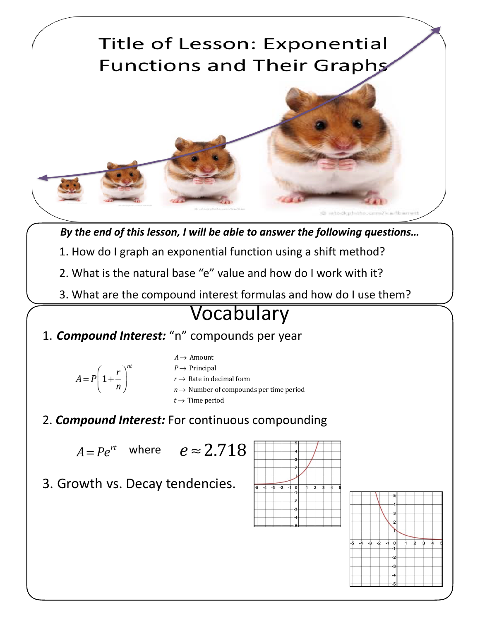

*By the end of this lesson, I will be able to answer the following questions…*

- 1. How do I graph an exponential function using a shift method?
- 2. What is the natural base "e" value and how do I work with it?
- 3. What are the compound interest formulas and how do I use them?

## Vocabulary

- 1. *Compound Interest:* "n" compounds per year
	- $A = P | 1 +$ *r n*  $\sqrt{}$  $\overline{\mathcal{N}}$  $\lambda$  $\overline{a}$ *nt*
- *A*→ Amount
- $P \rightarrow$  Principal
- $r \rightarrow$  Rate in decimal form
- *n* → Number of compounds per time period
- $t \rightarrow$  Time period
- 2. *Compound Interest:* For continuous compounding

 $A = Pe^{rt}$  where  $e \approx 2.718$ 

3. Growth vs. Decay tendencies.



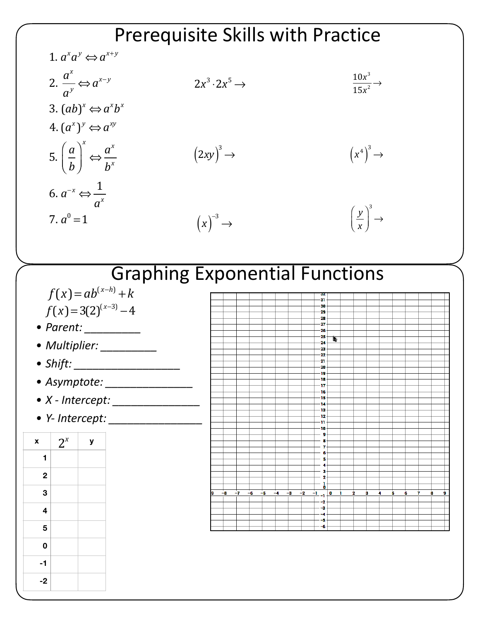## 1.  $a^xa^y \Longleftrightarrow a^{x+y}$ 2. *ax ay* ⇔*a<sup>x</sup>*<sup>−</sup> *<sup>y</sup>* 3.  $(ab)^x \Leftrightarrow a^x b^x$  $(4.((a^x))^y \Leftrightarrow a^{xy})$ 5.  $\left(\frac{a}{b}\right)$ *b*  $\sqrt{}$  $\overline{\mathcal{N}}$  $\overline{a}$  $\overline{a}$ *x* ⇔ *ax bx* 6.  $a^{-x} \Leftrightarrow$ 1 *ax*  $2x^3 \cdot 2x^5 \rightarrow$  $10x^3$  $\frac{16x}{15x^2}$   $\rightarrow$  $(2xy)^3$  $\rightarrow$   $(x^4)$ 3 → Prerequisite Skills with Practice

 $(x)^{-3} \rightarrow$ 



## Graphing Exponential Functions

- $f(x) = ab^{(x-h)} + k$  $f(x) = 3(2)^{(x-3)} - 4$
- *• Parent: \_\_\_\_\_\_\_\_\_*
- *• Multiplier: \_\_\_\_\_\_\_\_\_*

7.  $a^0 = 1$ 

- *• Shift: \_\_\_\_\_\_\_\_\_\_\_\_\_\_\_\_\_*
- *• Asymptote: \_\_\_\_\_\_\_\_\_\_\_\_\_\_*
- *• X Intercept: \_\_\_\_\_\_\_\_\_\_\_\_\_\_*
- *• Y- Intercept: \_\_\_\_\_\_\_\_\_\_\_\_\_\_\_*



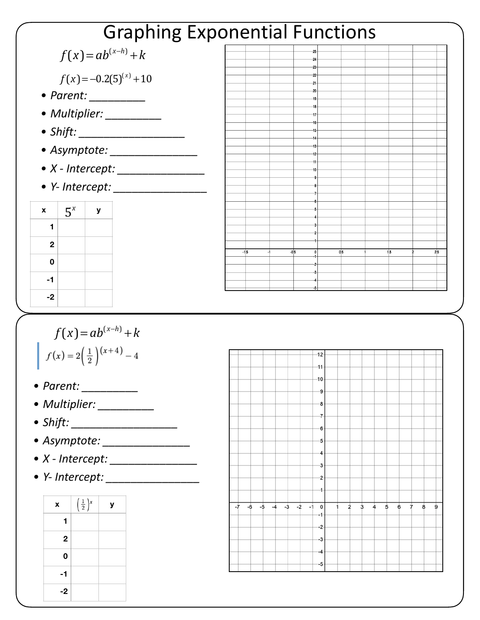|                                                | <b>Graphing Exponential Functions</b>                                               |        |
|------------------------------------------------|-------------------------------------------------------------------------------------|--------|
| $f(x) = ab^{(x-h)} + k$                        |                                                                                     |        |
| $f(x) = -0.2(5)^{(x)} + 10$                    |                                                                                     |        |
|                                                |                                                                                     |        |
| · Multiplier: _________                        |                                                                                     |        |
|                                                |                                                                                     |        |
|                                                |                                                                                     |        |
|                                                |                                                                                     |        |
| $\bullet$ Y- Intercept: $\_\_$                 |                                                                                     |        |
| $5^x$<br>$\mathbf{x}$<br>У                     |                                                                                     |        |
| 1                                              |                                                                                     |        |
| $\mathbf{2}$                                   | $-1.5$<br>$-0.5$<br>0.5<br>1.5                                                      | 2.5    |
| 0                                              |                                                                                     |        |
|                                                |                                                                                     |        |
| $-1$                                           |                                                                                     |        |
| $-2$                                           |                                                                                     |        |
|                                                |                                                                                     |        |
| $f(x) = ab^{(x-h)} + k$                        | 12                                                                                  |        |
| $f(x) = 2\left(\frac{1}{2}\right)^{(x+4)} - 4$ | $-11-$                                                                              |        |
| $\bullet$ Parent:                              | -10                                                                                 |        |
| · Multiplier: _________                        |                                                                                     |        |
| • Shift: _____________________                 |                                                                                     |        |
| • Asymptote: ________________                  |                                                                                     |        |
|                                                |                                                                                     |        |
|                                                |                                                                                     |        |
| $\mathbf{x}$<br>У                              | $\overline{3}$<br>$\overline{5}$<br>6<br>Ż.<br>$-7$<br>$\overline{2}$<br>$\ddot{4}$ | 8<br>9 |
| $\left(\frac{1}{2}\right)^x$<br>1.             | $-6$ $-5$ $-4$ $-3$ $-2$ $-1$ 0                                                     |        |
| $\mathbf{2}$                                   |                                                                                     |        |
| 0                                              |                                                                                     |        |
| $-1$                                           |                                                                                     |        |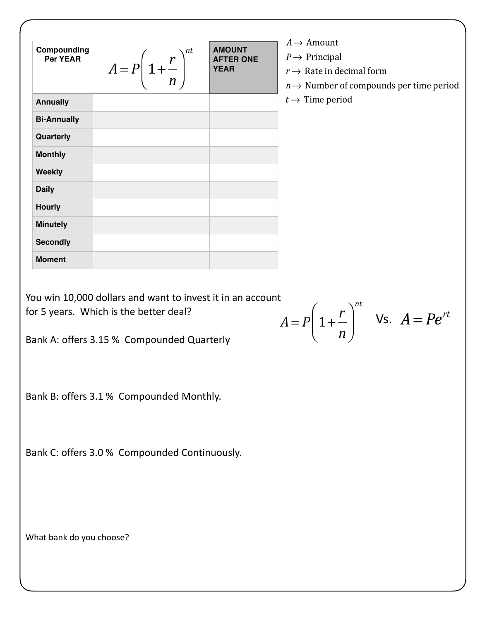|                                |                                                                                                                                                                                                |                                   | $A \rightarrow$ Amount                                        |  |
|--------------------------------|------------------------------------------------------------------------------------------------------------------------------------------------------------------------------------------------|-----------------------------------|---------------------------------------------------------------|--|
| Compounding<br><b>Per YEAR</b> |                                                                                                                                                                                                | <b>AMOUNT</b><br><b>AFTER ONE</b> | $P \rightarrow$ Principal                                     |  |
|                                | $A = P\left(1 + \frac{r}{n}\right)^{n}$                                                                                                                                                        |                                   | $r \rightarrow$ Rate in decimal form                          |  |
|                                |                                                                                                                                                                                                |                                   | $n \rightarrow$ Number of compounds per time period           |  |
| <b>Annually</b>                |                                                                                                                                                                                                |                                   | $t \rightarrow$ Time period                                   |  |
| <b>Bi-Annually</b>             |                                                                                                                                                                                                |                                   |                                                               |  |
| Quarterly                      |                                                                                                                                                                                                |                                   |                                                               |  |
| <b>Monthly</b>                 |                                                                                                                                                                                                |                                   |                                                               |  |
| <b>Weekly</b>                  |                                                                                                                                                                                                |                                   |                                                               |  |
| <b>Daily</b>                   |                                                                                                                                                                                                |                                   |                                                               |  |
| <b>Hourly</b>                  |                                                                                                                                                                                                |                                   |                                                               |  |
| <b>Minutely</b>                |                                                                                                                                                                                                |                                   |                                                               |  |
| <b>Secondly</b>                |                                                                                                                                                                                                |                                   |                                                               |  |
| <b>Moment</b>                  |                                                                                                                                                                                                |                                   |                                                               |  |
|                                | You win 10,000 dollars and want to invest it in an account<br>for 5 years. Which is the better deal?<br>Bank A: offers 3.15 % Compounded Quarterly<br>Bank B: offers 3.1 % Compounded Monthly. |                                   | $A = P\left(1 + \frac{r}{n}\right)^{n\tau}$ Vs. $A = Pe^{rt}$ |  |
|                                | Bank C: offers 3.0 % Compounded Continuously.                                                                                                                                                  |                                   |                                                               |  |
| What bank do you choose?       |                                                                                                                                                                                                |                                   |                                                               |  |